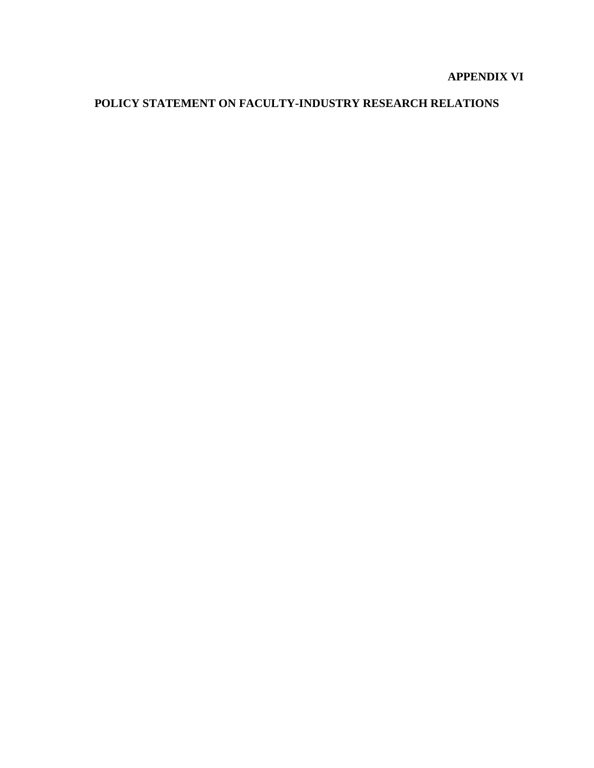## **APPENDIX VI**

# **POLICY STATEMENT ON FACULTY-INDUSTRY RESEARCH RELATIONS**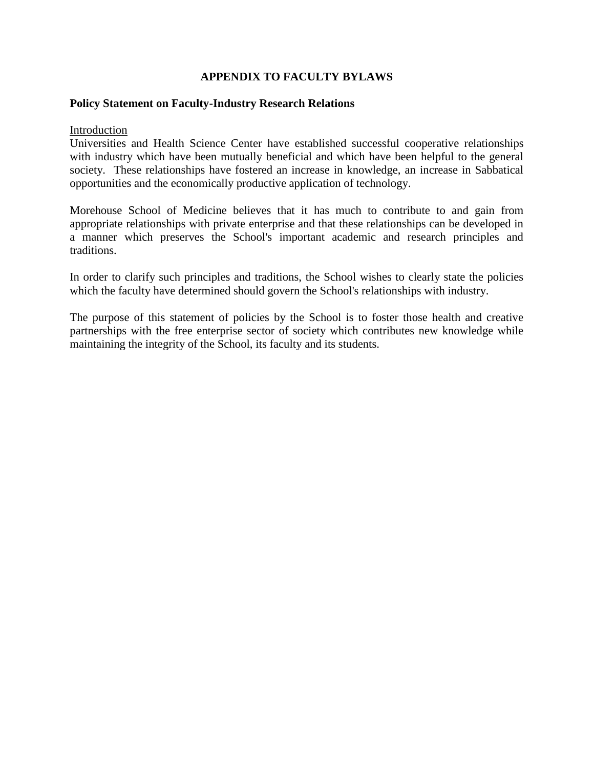## **APPENDIX TO FACULTY BYLAWS**

#### **Policy Statement on Faculty-Industry Research Relations**

Introduction

Universities and Health Science Center have established successful cooperative relationships with industry which have been mutually beneficial and which have been helpful to the general society. These relationships have fostered an increase in knowledge, an increase in Sabbatical opportunities and the economically productive application of technology.

Morehouse School of Medicine believes that it has much to contribute to and gain from appropriate relationships with private enterprise and that these relationships can be developed in a manner which preserves the School's important academic and research principles and traditions.

In order to clarify such principles and traditions, the School wishes to clearly state the policies which the faculty have determined should govern the School's relationships with industry.

The purpose of this statement of policies by the School is to foster those health and creative partnerships with the free enterprise sector of society which contributes new knowledge while maintaining the integrity of the School, its faculty and its students.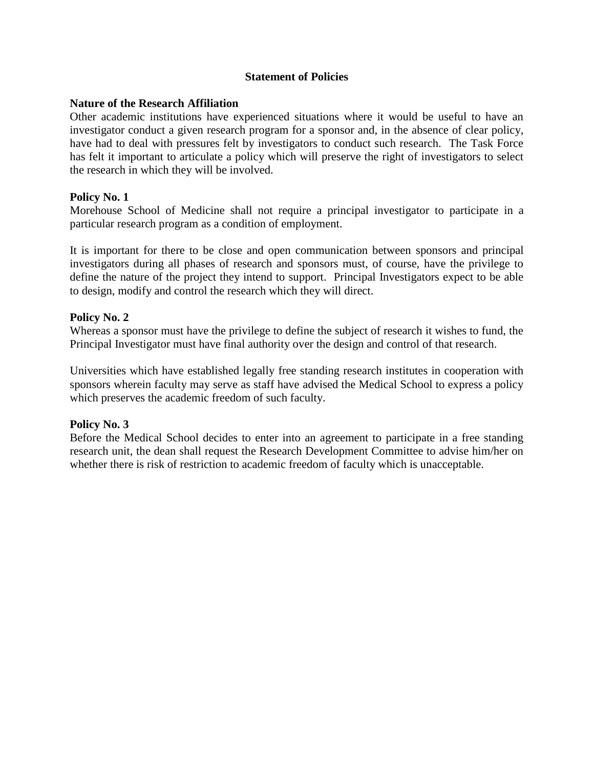## **Statement of Policies**

## **Nature of the Research Affiliation**

Other academic institutions have experienced situations where it would be useful to have an investigator conduct a given research program for a sponsor and, in the absence of clear policy, have had to deal with pressures felt by investigators to conduct such research. The Task Force has felt it important to articulate a policy which will preserve the right of investigators to select the research in which they will be involved.

#### **Policy No. 1**

Morehouse School of Medicine shall not require a principal investigator to participate in a particular research program as a condition of employment.

It is important for there to be close and open communication between sponsors and principal investigators during all phases of research and sponsors must, of course, have the privilege to define the nature of the project they intend to support. Principal Investigators expect to be able to design, modify and control the research which they will direct.

#### **Policy No. 2**

Whereas a sponsor must have the privilege to define the subject of research it wishes to fund, the Principal Investigator must have final authority over the design and control of that research.

Universities which have established legally free standing research institutes in cooperation with sponsors wherein faculty may serve as staff have advised the Medical School to express a policy which preserves the academic freedom of such faculty.

## **Policy No. 3**

Before the Medical School decides to enter into an agreement to participate in a free standing research unit, the dean shall request the Research Development Committee to advise him/her on whether there is risk of restriction to academic freedom of faculty which is unacceptable.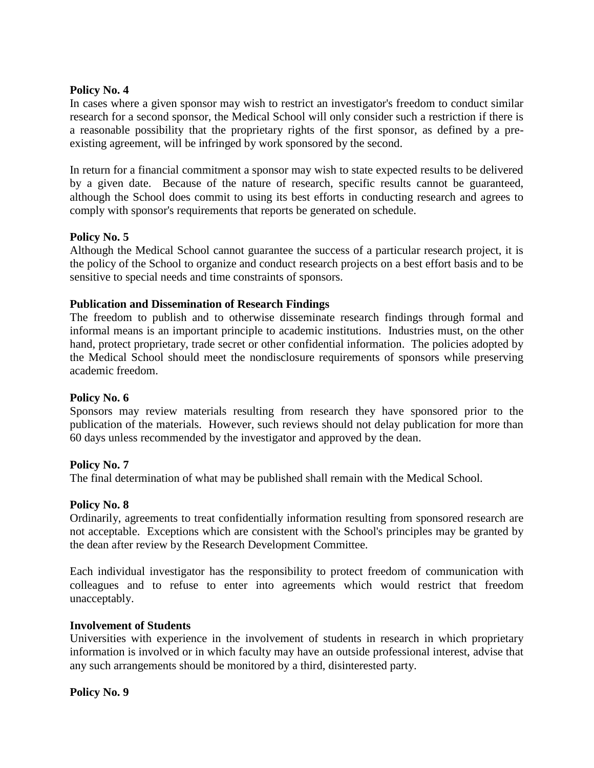#### **Policy No. 4**

In cases where a given sponsor may wish to restrict an investigator's freedom to conduct similar research for a second sponsor, the Medical School will only consider such a restriction if there is a reasonable possibility that the proprietary rights of the first sponsor, as defined by a preexisting agreement, will be infringed by work sponsored by the second.

In return for a financial commitment a sponsor may wish to state expected results to be delivered by a given date. Because of the nature of research, specific results cannot be guaranteed, although the School does commit to using its best efforts in conducting research and agrees to comply with sponsor's requirements that reports be generated on schedule.

## **Policy No. 5**

Although the Medical School cannot guarantee the success of a particular research project, it is the policy of the School to organize and conduct research projects on a best effort basis and to be sensitive to special needs and time constraints of sponsors.

## **Publication and Dissemination of Research Findings**

The freedom to publish and to otherwise disseminate research findings through formal and informal means is an important principle to academic institutions. Industries must, on the other hand, protect proprietary, trade secret or other confidential information. The policies adopted by the Medical School should meet the nondisclosure requirements of sponsors while preserving academic freedom.

#### **Policy No. 6**

Sponsors may review materials resulting from research they have sponsored prior to the publication of the materials. However, such reviews should not delay publication for more than 60 days unless recommended by the investigator and approved by the dean.

#### **Policy No. 7**

The final determination of what may be published shall remain with the Medical School.

#### **Policy No. 8**

Ordinarily, agreements to treat confidentially information resulting from sponsored research are not acceptable. Exceptions which are consistent with the School's principles may be granted by the dean after review by the Research Development Committee.

Each individual investigator has the responsibility to protect freedom of communication with colleagues and to refuse to enter into agreements which would restrict that freedom unacceptably.

#### **Involvement of Students**

Universities with experience in the involvement of students in research in which proprietary information is involved or in which faculty may have an outside professional interest, advise that any such arrangements should be monitored by a third, disinterested party.

**Policy No. 9**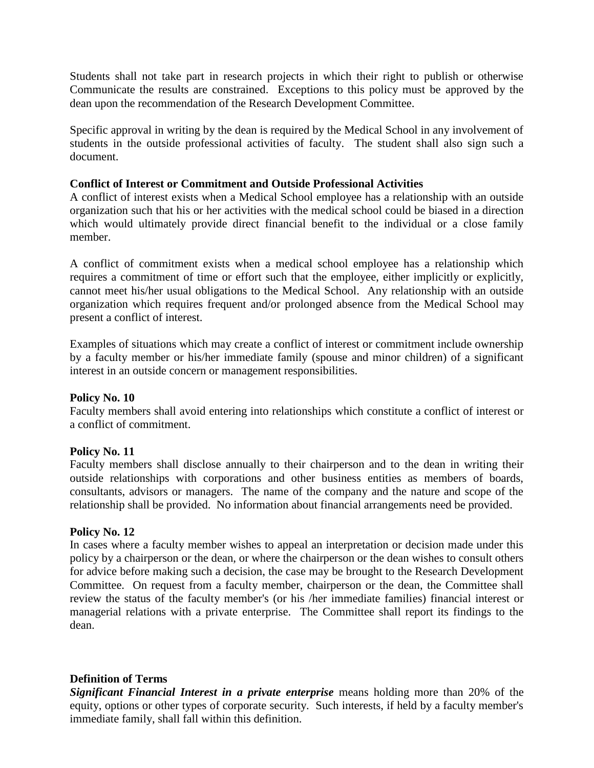Students shall not take part in research projects in which their right to publish or otherwise Communicate the results are constrained. Exceptions to this policy must be approved by the dean upon the recommendation of the Research Development Committee.

Specific approval in writing by the dean is required by the Medical School in any involvement of students in the outside professional activities of faculty. The student shall also sign such a document.

## **Conflict of Interest or Commitment and Outside Professional Activities**

A conflict of interest exists when a Medical School employee has a relationship with an outside organization such that his or her activities with the medical school could be biased in a direction which would ultimately provide direct financial benefit to the individual or a close family member.

A conflict of commitment exists when a medical school employee has a relationship which requires a commitment of time or effort such that the employee, either implicitly or explicitly, cannot meet his/her usual obligations to the Medical School. Any relationship with an outside organization which requires frequent and/or prolonged absence from the Medical School may present a conflict of interest.

Examples of situations which may create a conflict of interest or commitment include ownership by a faculty member or his/her immediate family (spouse and minor children) of a significant interest in an outside concern or management responsibilities.

## **Policy No. 10**

Faculty members shall avoid entering into relationships which constitute a conflict of interest or a conflict of commitment.

## **Policy No. 11**

Faculty members shall disclose annually to their chairperson and to the dean in writing their outside relationships with corporations and other business entities as members of boards, consultants, advisors or managers. The name of the company and the nature and scope of the relationship shall be provided. No information about financial arrangements need be provided.

## **Policy No. 12**

In cases where a faculty member wishes to appeal an interpretation or decision made under this policy by a chairperson or the dean, or where the chairperson or the dean wishes to consult others for advice before making such a decision, the case may be brought to the Research Development Committee. On request from a faculty member, chairperson or the dean, the Committee shall review the status of the faculty member's (or his /her immediate families) financial interest or managerial relations with a private enterprise. The Committee shall report its findings to the dean.

## **Definition of Terms**

*Significant Financial Interest in a private enterprise* means holding more than 20% of the equity, options or other types of corporate security. Such interests, if held by a faculty member's immediate family, shall fall within this definition.